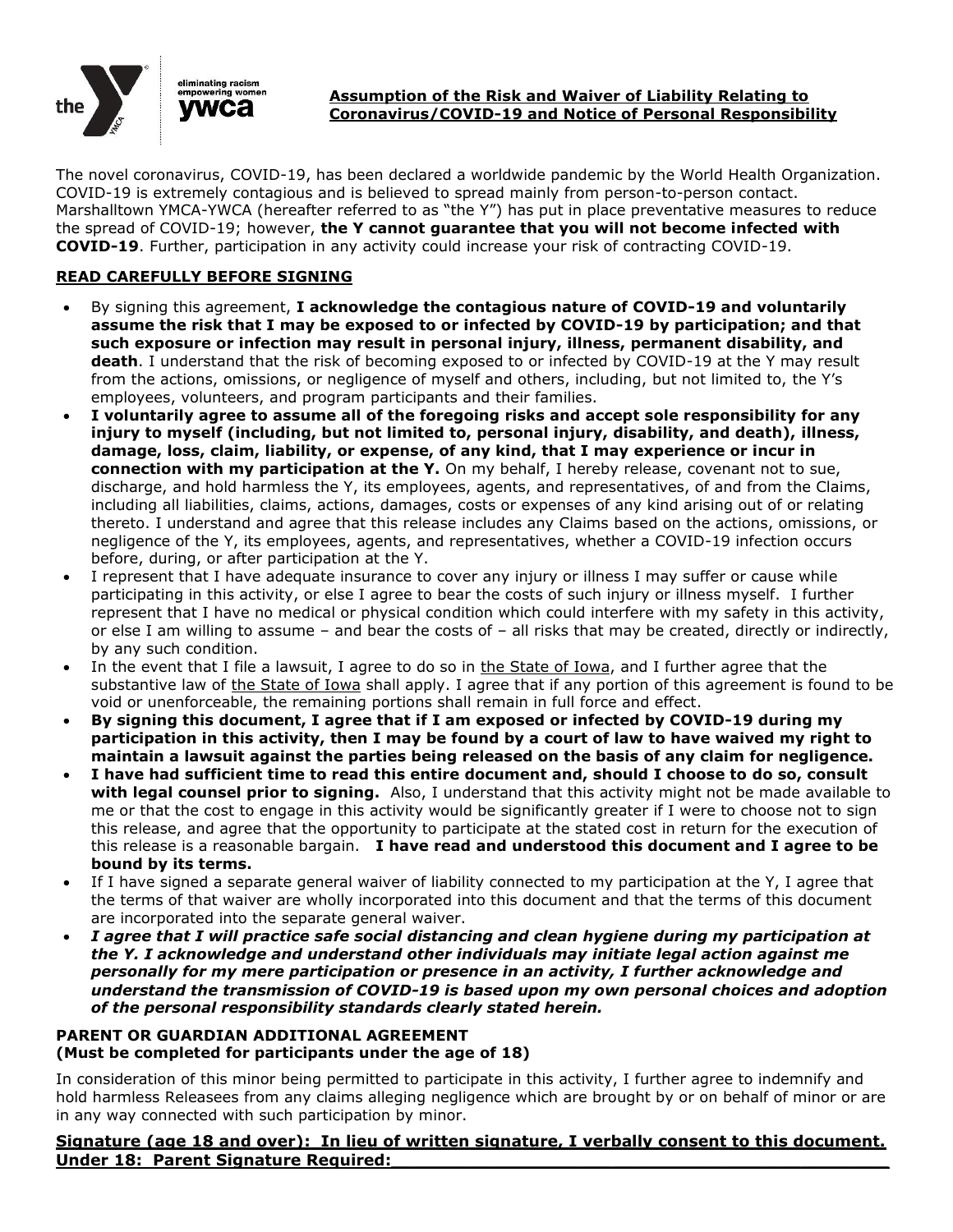

#### **Assumption of the Risk and Waiver of Liability Relating to Coronavirus/COVID-19 and Notice of Personal Responsibility**

The novel coronavirus, COVID-19, has been declared a worldwide pandemic by the World Health Organization. COVID-19 is extremely contagious and is believed to spread mainly from person-to-person contact. Marshalltown YMCA-YWCA (hereafter referred to as "the Y") has put in place preventative measures to reduce the spread of COVID-19; however, **the Y cannot guarantee that you will not become infected with COVID-19**. Further, participation in any activity could increase your risk of contracting COVID-19.

## **READ CAREFULLY BEFORE SIGNING**

- By signing this agreement, **I acknowledge the contagious nature of COVID-19 and voluntarily assume the risk that I may be exposed to or infected by COVID-19 by participation; and that such exposure or infection may result in personal injury, illness, permanent disability, and death**. I understand that the risk of becoming exposed to or infected by COVID-19 at the Y may result from the actions, omissions, or negligence of myself and others, including, but not limited to, the Y's employees, volunteers, and program participants and their families.
- **I voluntarily agree to assume all of the foregoing risks and accept sole responsibility for any injury to myself (including, but not limited to, personal injury, disability, and death), illness, damage, loss, claim, liability, or expense, of any kind, that I may experience or incur in connection with my participation at the Y.** On my behalf, I hereby release, covenant not to sue, discharge, and hold harmless the Y, its employees, agents, and representatives, of and from the Claims, including all liabilities, claims, actions, damages, costs or expenses of any kind arising out of or relating thereto. I understand and agree that this release includes any Claims based on the actions, omissions, or negligence of the Y, its employees, agents, and representatives, whether a COVID-19 infection occurs before, during, or after participation at the Y.
- I represent that I have adequate insurance to cover any injury or illness I may suffer or cause while participating in this activity, or else I agree to bear the costs of such injury or illness myself. I further represent that I have no medical or physical condition which could interfere with my safety in this activity, or else I am willing to assume – and bear the costs of – all risks that may be created, directly or indirectly, by any such condition.
- In the event that I file a lawsuit, I agree to do so in the State of Iowa, and I further agree that the substantive law of the State of Iowa shall apply. I agree that if any portion of this agreement is found to be void or unenforceable, the remaining portions shall remain in full force and effect.
- **By signing this document, I agree that if I am exposed or infected by COVID-19 during my participation in this activity, then I may be found by a court of law to have waived my right to maintain a lawsuit against the parties being released on the basis of any claim for negligence.**
- **I have had sufficient time to read this entire document and, should I choose to do so, consult with legal counsel prior to signing.** Also, I understand that this activity might not be made available to me or that the cost to engage in this activity would be significantly greater if I were to choose not to sign this release, and agree that the opportunity to participate at the stated cost in return for the execution of this release is a reasonable bargain. **I have read and understood this document and I agree to be bound by its terms.**
- If I have signed a separate general waiver of liability connected to my participation at the Y, I agree that the terms of that waiver are wholly incorporated into this document and that the terms of this document are incorporated into the separate general waiver.
- *I agree that I will practice safe social distancing and clean hygiene during my participation at the Y. I acknowledge and understand other individuals may initiate legal action against me personally for my mere participation or presence in an activity, I further acknowledge and understand the transmission of COVID-19 is based upon my own personal choices and adoption of the personal responsibility standards clearly stated herein.*

#### **PARENT OR GUARDIAN ADDITIONAL AGREEMENT (Must be completed for participants under the age of 18)**

In consideration of this minor being permitted to participate in this activity, I further agree to indemnify and hold harmless Releasees from any claims alleging negligence which are brought by or on behalf of minor or are in any way connected with such participation by minor.

### **Signature (age 18 and over): In lieu of written signature, I verbally consent to this document. Under 18: Parent Signature Required:**